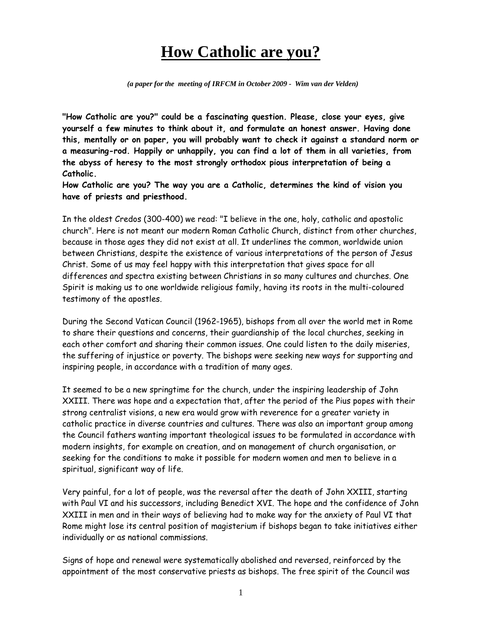## **How Catholic are you?**

 *(a paper for the meeting of IRFCM in October 2009 - Wim van der Velden)* 

**"How Catholic are you?" could be a fascinating question. Please, close your eyes, give yourself a few minutes to think about it, and formulate an honest answer. Having done this, mentally or on paper, you will probably want to check it against a standard norm or a measuring-rod. Happily or unhappily, you can find a lot of them in all varieties, from the abyss of heresy to the most strongly orthodox pious interpretation of being a Catholic.** 

**How Catholic are you? The way you are a Catholic, determines the kind of vision you have of priests and priesthood.** 

In the oldest Credos (300-400) we read: "I believe in the one, holy, catholic and apostolic church". Here is not meant our modern Roman Catholic Church, distinct from other churches, because in those ages they did not exist at all. It underlines the common, worldwide union between Christians, despite the existence of various interpretations of the person of Jesus Christ. Some of us may feel happy with this interpretation that gives space for all differences and spectra existing between Christians in so many cultures and churches. One Spirit is making us to one worldwide religious family, having its roots in the multi-coloured testimony of the apostles.

During the Second Vatican Council (1962-1965), bishops from all over the world met in Rome to share their questions and concerns, their guardianship of the local churches, seeking in each other comfort and sharing their common issues. One could listen to the daily miseries, the suffering of injustice or poverty. The bishops were seeking new ways for supporting and inspiring people, in accordance with a tradition of many ages.

It seemed to be a new springtime for the church, under the inspiring leadership of John XXIII. There was hope and a expectation that, after the period of the Pius popes with their strong centralist visions, a new era would grow with reverence for a greater variety in catholic practice in diverse countries and cultures. There was also an important group among the Council fathers wanting important theological issues to be formulated in accordance with modern insights, for example on creation, and on management of church organisation, or seeking for the conditions to make it possible for modern women and men to believe in a spiritual, significant way of life.

Very painful, for a lot of people, was the reversal after the death of John XXIII, starting with Paul VI and his successors, including Benedict XVI. The hope and the confidence of John XXIII in men and in their ways of believing had to make way for the anxiety of Paul VI that Rome might lose its central position of magisterium if bishops began to take initiatives either individually or as national commissions.

Signs of hope and renewal were systematically abolished and reversed, reinforced by the appointment of the most conservative priests as bishops. The free spirit of the Council was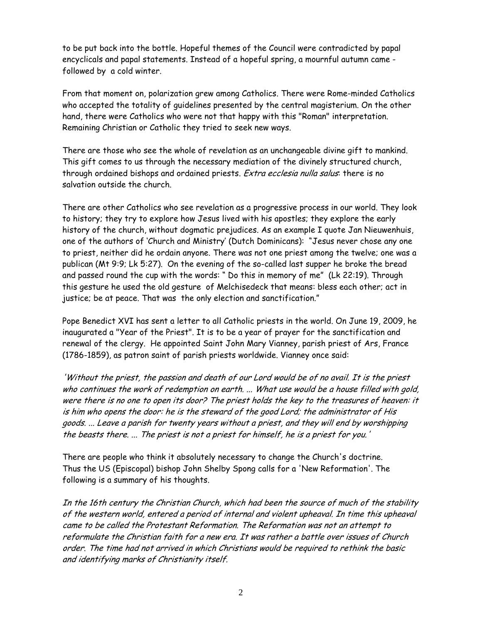to be put back into the bottle. Hopeful themes of the Council were contradicted by papal encyclicals and papal statements. Instead of a hopeful spring, a mournful autumn came followed by a cold winter.

From that moment on, polarization grew among Catholics. There were Rome-minded Catholics who accepted the totality of guidelines presented by the central magisterium. On the other hand, there were Catholics who were not that happy with this "Roman" interpretation. Remaining Christian or Catholic they tried to seek new ways.

There are those who see the whole of revelation as an unchangeable divine gift to mankind. This gift comes to us through the necessary mediation of the divinely structured church, through ordained bishops and ordained priests. Extra ecclesia nulla salus: there is no salvation outside the church.

There are other Catholics who see revelation as a progressive process in our world. They look to history; they try to explore how Jesus lived with his apostles; they explore the early history of the church, without dogmatic prejudices. As an example I quote Jan Nieuwenhuis, one of the authors of 'Church and Ministry' (Dutch Dominicans): "Jesus never chose any one to priest, neither did he ordain anyone. There was not one priest among the twelve; one was a publican (Mt 9:9; Lk 5:27). On the evening of the so-called last supper he broke the bread and passed round the cup with the words: " Do this in memory of me" (Lk 22:19). Through this gesture he used the old gesture of Melchisedeck that means: bless each other; act in justice; be at peace. That was the only election and sanctification."

Pope Benedict XVI has sent a letter to all Catholic priests in the world. On June 19, 2009, he inaugurated a "Year of the Priest". It is to be a year of prayer for the sanctification and renewal of the clergy. He appointed Saint John Mary Vianney, parish priest of Ars, France (1786-1859), as patron saint of parish priests worldwide. Vianney once said:

'Without the priest, the passion and death of our Lord would be of no avail. It is the priest who continues the work of redemption on earth. ... What use would be a house filled with gold, were there is no one to open its door? The priest holds the key to the treasures of heaven: it is him who opens the door: he is the steward of the good Lord; the administrator of His goods. ... Leave a parish for twenty years without a priest, and they will end by worshipping the beasts there. ... The priest is not a priest for himself, he is a priest for you.'

There are people who think it absolutely necessary to change the Church's doctrine. Thus the US (Episcopal) bishop John Shelby Spong calls for a 'New Reformation'. The following is a summary of his thoughts.

In the 16th century the Christian Church, which had been the source of much of the stability of the western world, entered a period of internal and violent upheaval. In time this upheaval came to be called the Protestant Reformation. The Reformation was not an attempt to reformulate the Christian faith for a new era. It was rather a battle over issues of Church order. The time had not arrived in which Christians would be required to rethink the basic and identifying marks of Christianity itself.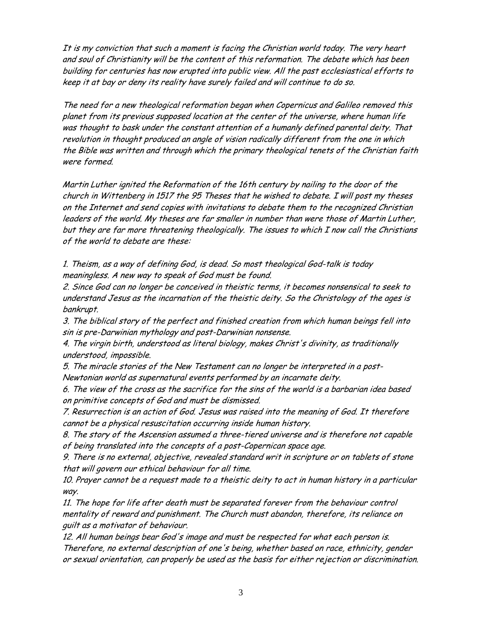It is my conviction that such a moment is facing the Christian world today. The very heart and soul of Christianity will be the content of this reformation. The debate which has been building for centuries has now erupted into public view. All the past ecclesiastical efforts to keep it at bay or deny its reality have surely failed and will continue to do so.

The need for a new theological reformation began when Copernicus and Galileo removed this planet from its previous supposed location at the center of the universe, where human life was thought to bask under the constant attention of a humanly defined parental deity. That revolution in thought produced an angle of vision radically different from the one in which the Bible was written and through which the primary theological tenets of the Christian faith were formed.

Martin Luther ignited the Reformation of the 16th century by nailing to the door of the church in Wittenberg in 1517 the 95 Theses that he wished to debate. I will post my theses on the Internet and send copies with invitations to debate them to the recognized Christian leaders of the world. My theses are far smaller in number than were those of Martin Luther, but they are far more threatening theologically. The issues to which I now call the Christians of the world to debate are these:

1. Theism, as a way of defining God, is dead. So most theological God-talk is today meaningless. A new way to speak of God must be found.

2. Since God can no longer be conceived in theistic terms, it becomes nonsensical to seek to understand Jesus as the incarnation of the theistic deity. So the Christology of the ages is bankrupt.

3. The biblical story of the perfect and finished creation from which human beings fell into sin is pre-Darwinian mythology and post-Darwinian nonsense.

4. The virgin birth, understood as literal biology, makes Christ's divinity, as traditionally understood, impossible.

5. The miracle stories of the New Testament can no longer be interpreted in a post-Newtonian world as supernatural events performed by an incarnate deity.

6. The view of the cross as the sacrifice for the sins of the world is a barbarian idea based on primitive concepts of God and must be dismissed.

7. Resurrection is an action of God. Jesus was raised into the meaning of God. It therefore cannot be a physical resuscitation occurring inside human history.

8. The story of the Ascension assumed a three-tiered universe and is therefore not capable of being translated into the concepts of a post-Copernican space age.

9. There is no external, objective, revealed standard writ in scripture or on tablets of stone that will govern our ethical behaviour for all time.

10. Prayer cannot be a request made to a theistic deity to act in human history in a particular way.

11. The hope for life after death must be separated forever from the behaviour control mentality of reward and punishment. The Church must abandon, therefore, its reliance on guilt as a motivator of behaviour.

12. All human beings bear God's image and must be respected for what each person is. Therefore, no external description of one's being, whether based on race, ethnicity, gender or sexual orientation, can properly be used as the basis for either rejection or discrimination.